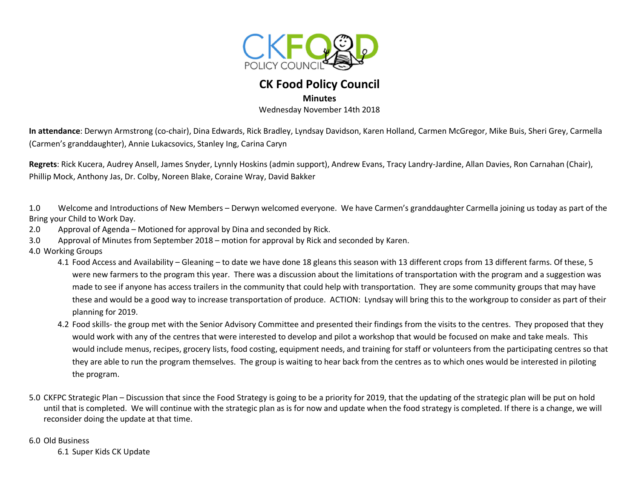

## **CK Food Policy Council**

## **Minutes**

Wednesday November 14th 2018

**In attendance**: Derwyn Armstrong (co-chair), Dina Edwards, Rick Bradley, Lyndsay Davidson, Karen Holland, Carmen McGregor, Mike Buis, Sheri Grey, Carmella (Carmen's granddaughter), Annie Lukacsovics, Stanley Ing, Carina Caryn

**Regrets**: Rick Kucera, Audrey Ansell, James Snyder, Lynnly Hoskins (admin support), Andrew Evans, Tracy Landry-Jardine, Allan Davies, Ron Carnahan (Chair), Phillip Mock, Anthony Jas, Dr. Colby, Noreen Blake, Coraine Wray, David Bakker

1.0 Welcome and Introductions of New Members – Derwyn welcomed everyone. We have Carmen's granddaughter Carmella joining us today as part of the Bring your Child to Work Day.

2.0 Approval of Agenda – Motioned for approval by Dina and seconded by Rick.

3.0 Approval of Minutes from September 2018 – motion for approval by Rick and seconded by Karen.

4.0 Working Groups

- 4.1 Food Access and Availability Gleaning to date we have done 18 gleans this season with 13 different crops from 13 different farms. Of these, 5 were new farmers to the program this year. There was a discussion about the limitations of transportation with the program and a suggestion was made to see if anyone has access trailers in the community that could help with transportation. They are some community groups that may have these and would be a good way to increase transportation of produce. ACTION: Lyndsay will bring this to the workgroup to consider as part of their planning for 2019.
- 4.2 Food skills- the group met with the Senior Advisory Committee and presented their findings from the visits to the centres. They proposed that they would work with any of the centres that were interested to develop and pilot a workshop that would be focused on make and take meals. This would include menus, recipes, grocery lists, food costing, equipment needs, and training for staff or volunteers from the participating centres so that they are able to run the program themselves. The group is waiting to hear back from the centres as to which ones would be interested in piloting the program.
- 5.0 CKFPC Strategic Plan Discussion that since the Food Strategy is going to be a priority for 2019, that the updating of the strategic plan will be put on hold until that is completed. We will continue with the strategic plan as is for now and update when the food strategy is completed. If there is a change, we will reconsider doing the update at that time.

6.0 Old Business

6.1 Super Kids CK Update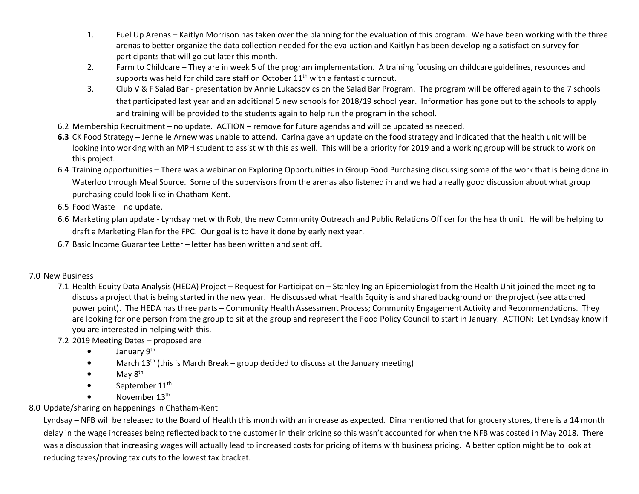- 1. Fuel Up Arenas – Kaitlyn Morrison has taken over the planning for the evaluation of this program. We have been working with the three arenas to better organize the data collection needed for the evaluation and Kaitlyn has been developing a satisfaction survey for participants that will go out later this month.
- 2. Farm to Childcare – They are in week 5 of the program implementation. A training focusing on childcare guidelines, resources and supports was held for child care staff on October 11<sup>th</sup> with a fantastic turnout.
- 3. Club V & F Salad Bar - presentation by Annie Lukacsovics on the Salad Bar Program. The program will be offered again to the 7 schools that participated last year and an additional 5 new schools for 2018/19 school year. Information has gone out to the schools to apply and training will be provided to the students again to help run the program in the school.
- 6.2 Membership Recruitment no update. ACTION remove for future agendas and will be updated as needed.
- **6.3** CK Food Strategy Jennelle Arnew was unable to attend. Carina gave an update on the food strategy and indicated that the health unit will be looking into working with an MPH student to assist with this as well. This will be a priority for 2019 and a working group will be struck to work on this project.
- 6.4 Training opportunities There was a webinar on Exploring Opportunities in Group Food Purchasing discussing some of the work that is being done in Waterloo through Meal Source. Some of the supervisors from the arenas also listened in and we had a really good discussion about what group purchasing could look like in Chatham-Kent.
- 6.5 Food Waste no update.
- 6.6 Marketing plan update Lyndsay met with Rob, the new Community Outreach and Public Relations Officer for the health unit. He will be helping to draft a Marketing Plan for the FPC. Our goal is to have it done by early next year.
- 6.7 Basic Income Guarantee Letter letter has been written and sent off.

## 7.0 New Business

- 7.1 Health Equity Data Analysis (HEDA) Project Request for Participation Stanley Ing an Epidemiologist from the Health Unit joined the meeting to discuss a project that is being started in the new year. He discussed what Health Equity is and shared background on the project (see attached power point). The HEDA has three parts – Community Health Assessment Process; Community Engagement Activity and Recommendations. They are looking for one person from the group to sit at the group and represent the Food Policy Council to start in January. ACTION: Let Lyndsay know if you are interested in helping with this.
- 7.2 2019 Meeting Dates proposed are
	- •January 9<sup>th</sup>
	- •March  $13^{th}$  (this is March Break – group decided to discuss at the January meeting)
	- •May 8<sup>th</sup>
	- •September 11<sup>th</sup>
	- •November 13th
- 8.0 Update/sharing on happenings in Chatham-Kent

Lyndsay – NFB will be released to the Board of Health this month with an increase as expected. Dina mentioned that for grocery stores, there is a 14 month delay in the wage increases being reflected back to the customer in their pricing so this wasn't accounted for when the NFB was costed in May 2018. There was a discussion that increasing wages will actually lead to increased costs for pricing of items with business pricing. A better option might be to look at reducing taxes/proving tax cuts to the lowest tax bracket.